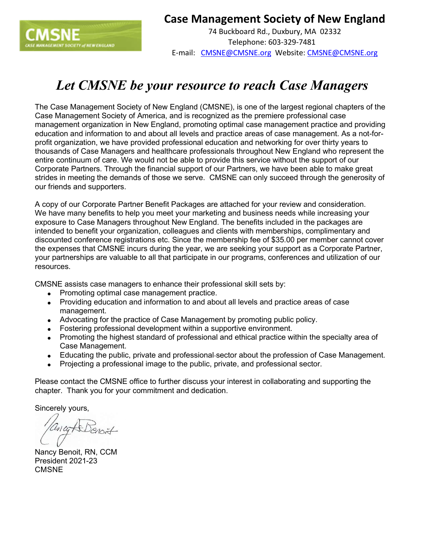

## **Case Management Society of New England**

74 Buckboard Rd., Duxbury, MA 02332 Telephone: 603-329-7481 E-mail: CMSNE@CMSNE.org Website: CMSNE@CMSNE.org

## *Let CMSNE be your resource to reach Case Managers*

The Case Management Society of New England (CMSNE), is one of the largest regional chapters of the Case Management Society of America, and is recognized as the premiere professional case management organization in New England, promoting optimal case management practice and providing education and information to and about all levels and practice areas of case management. As a not-forprofit organization, we have provided professional education and networking for over thirty years to thousands of Case Managers and healthcare professionals throughout New England who represent the entire continuum of care. We would not be able to provide this service without the support of our Corporate Partners. Through the financial support of our Partners, we have been able to make great strides in meeting the demands of those we serve. CMSNE can only succeed through the generosity of our friends and supporters.

A copy of our Corporate Partner Benefit Packages are attached for your review and consideration. We have many benefits to help you meet your marketing and business needs while increasing your exposure to Case Managers throughout New England. The benefits included in the packages are intended to benefit your organization, colleagues and clients with memberships, complimentary and discounted conference registrations etc. Since the membership fee of \$35.00 per member cannot cover the expenses that CMSNE incurs during the year, we are seeking your support as a Corporate Partner, your partnerships are valuable to all that participate in our programs, conferences and utilization of our resources.

CMSNE assists case managers to enhance their professional skill sets by:

- Promoting optimal case management practice.
- Providing education and information to and about all levels and practice areas of case management.
- Advocating for the practice of Case Management by promoting public policy.
- Fostering professional development within a supportive environment.
- Promoting the highest standard of professional and ethical practice within the specialty area of Case Management.
- Educating the public, private and professional-sector about the profession of Case Management.
- Projecting a professional image to the public, private, and professional sector.

Please contact the CMSNE office to further discuss your interest in collaborating and supporting the chapter. Thank you for your commitment and dedication.

Sincerely yours,

ancy A Benoit

Nancy Benoit, RN, CCM President 2021-23 CMSNE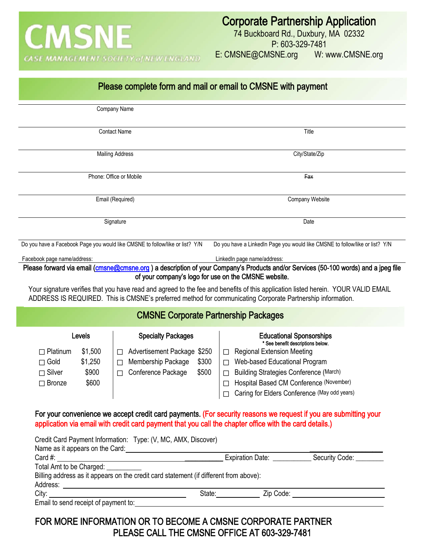

E: CMSNE@CMSNE.org W: www.CMSNE.org

|                                     |         |                                                                                       |                                              | Please complete form and mail or email to CMSNE with payment                                               |                                                                                                                                                                                                                                                                    |  |
|-------------------------------------|---------|---------------------------------------------------------------------------------------|----------------------------------------------|------------------------------------------------------------------------------------------------------------|--------------------------------------------------------------------------------------------------------------------------------------------------------------------------------------------------------------------------------------------------------------------|--|
|                                     |         | Company Name                                                                          |                                              |                                                                                                            |                                                                                                                                                                                                                                                                    |  |
|                                     |         | <b>Contact Name</b>                                                                   |                                              |                                                                                                            | Title                                                                                                                                                                                                                                                              |  |
|                                     |         | <b>Mailing Address</b>                                                                |                                              |                                                                                                            | City/State/Zip                                                                                                                                                                                                                                                     |  |
|                                     |         | Phone: Office or Mobile                                                               |                                              |                                                                                                            | Fax                                                                                                                                                                                                                                                                |  |
| Email (Required)                    |         |                                                                                       |                                              | Company Website                                                                                            |                                                                                                                                                                                                                                                                    |  |
|                                     |         | Signature                                                                             |                                              | Date                                                                                                       |                                                                                                                                                                                                                                                                    |  |
|                                     |         | Do you have a Facebook Page you would like CMSNE to follow/like or list? Y/N          |                                              | Do you have a LinkedIn Page you would like CMSNE to follow/like or list? Y/N                               |                                                                                                                                                                                                                                                                    |  |
| Facebook page name/address:         |         |                                                                                       |                                              | LinkedIn page name/address:                                                                                |                                                                                                                                                                                                                                                                    |  |
|                                     |         |                                                                                       |                                              | of your company's logo for use on the CMSNE website.                                                       | Please forward via email (cmsne@cmsne.org) a description of your Company's Products and/or Services (50-100 words) and a jpeg file                                                                                                                                 |  |
|                                     |         |                                                                                       |                                              | ADDRESS IS REQUIRED. This is CMSNE's preferred method for communicating Corporate Partnership information. | Your signature verifies that you have read and agreed to the fee and benefits of this application listed herein. YOUR VALID EMAIL                                                                                                                                  |  |
|                                     |         |                                                                                       |                                              | <b>CMSNE Corporate Partnership Packages</b>                                                                |                                                                                                                                                                                                                                                                    |  |
|                                     | Levels  | <b>Specialty Packages</b>                                                             |                                              | <b>Educational Sponsorships</b><br>* See benefit descriptions below.                                       |                                                                                                                                                                                                                                                                    |  |
| $\Box$ Platinum                     | \$1,500 | Advertisement Package \$250<br>П                                                      |                                              | <b>Regional Extension Meeting</b><br>$\Box$                                                                |                                                                                                                                                                                                                                                                    |  |
| $\Box$ Gold                         | \$1,250 | Membership Package<br>$\Box$                                                          | \$300                                        | Web-based Educational Program<br>$\Box$                                                                    |                                                                                                                                                                                                                                                                    |  |
| $\Box$ Silver                       | \$900   | Conference Package<br>$\Box$                                                          | \$500                                        | <b>Building Strategies Conference (March)</b><br>П                                                         |                                                                                                                                                                                                                                                                    |  |
| \$600<br>$\Box$ Bronze              |         |                                                                                       | Hospital Based CM Conference (November)<br>П |                                                                                                            |                                                                                                                                                                                                                                                                    |  |
|                                     |         |                                                                                       |                                              | Caring for Elders Conference (May odd years)                                                               |                                                                                                                                                                                                                                                                    |  |
|                                     |         |                                                                                       |                                              | application via email with credit card payment that you call the chapter office with the card details.)    | For your convenience we accept credit card payments. (For security reasons we request if you are submitting your                                                                                                                                                   |  |
|                                     |         | Credit Card Payment Information: Type: (V, MC, AMX, Discover)                         |                                              |                                                                                                            |                                                                                                                                                                                                                                                                    |  |
|                                     |         |                                                                                       |                                              |                                                                                                            | Name as it appears on the Card:<br>Card #: Security Code: Card #: Security Code: Card #: Security Code: Card #: Security Code: Card #: Security Code: Card #: Security Code: Card #: Security Code: Card #: Security Code: Card                                    |  |
| Total Amt to be Charged: __________ |         |                                                                                       |                                              |                                                                                                            |                                                                                                                                                                                                                                                                    |  |
|                                     |         | Billing address as it appears on the credit card statement (if different from above): |                                              |                                                                                                            |                                                                                                                                                                                                                                                                    |  |
|                                     |         |                                                                                       |                                              |                                                                                                            | State: <u>Zip Code:</u> Zip Code:<br>City: City: City: City: City: City: City: City: City: City: City: City: City: City: City: City: City: City: City: City: City: City: City: City: City: City: City: City: City: City: City: City: City: City: City: City: City: |  |
|                                     |         |                                                                                       |                                              |                                                                                                            |                                                                                                                                                                                                                                                                    |  |

FOR MORE INFORMATION OR TO BECOME A CMSNE CORPORATE PARTNER PLEASE CALL THE CMSNE OFFICE AT 603-329-7481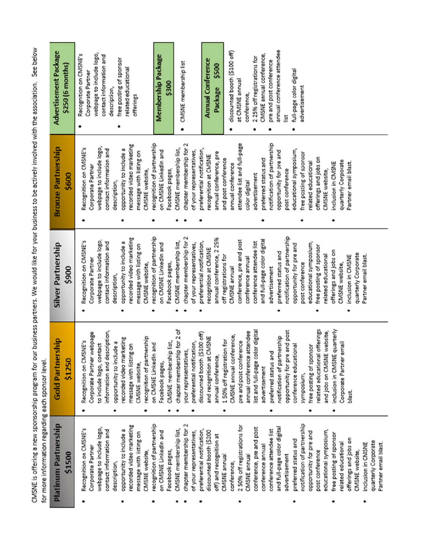| notification of partnership<br>recognition of partnership<br>chapter membership for 2<br>recorded video marketing<br>2 50% off registrations for<br>and full-page color digital<br>conference, pre and post<br>CMSNE membership list,<br>opportunity to include a<br>conference attendee list<br>preferential notification,<br>on CMSNE LinkedIn and<br>of your representatives,<br>discounted booth (\$200<br>opportunity for pre and<br>message with listing on<br>off) and recognition at<br>preferred status and<br>conference annual<br>Facebook pages,<br>CMSNE website,<br>CMSNE annual<br>advertisement<br>CMSNE annual |
|---------------------------------------------------------------------------------------------------------------------------------------------------------------------------------------------------------------------------------------------------------------------------------------------------------------------------------------------------------------------------------------------------------------------------------------------------------------------------------------------------------------------------------------------------------------------------------------------------------------------------------|
| educational symposium,<br>free posting of sponsor<br>offerings and jobs on<br>quarterly Corporate<br>related educational<br>inclusion in CMSNE<br>Partner email blast                                                                                                                                                                                                                                                                                                                                                                                                                                                           |

CMSNE is offering a new sponsorship program for our business partners. We would like for your business to be actively involved with the association. See below